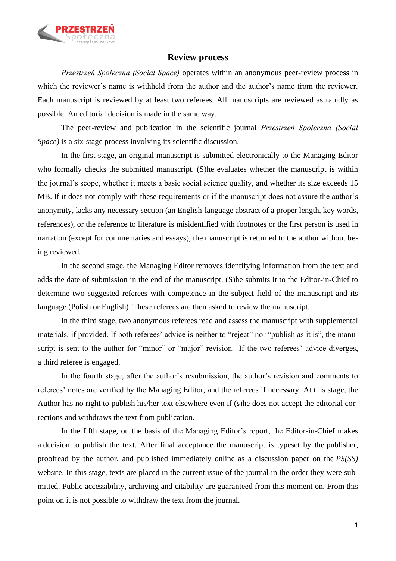

## **Review process**

*Przestrzeń Społeczna (Social Space)* operates within an anonymous peer-review process in which the reviewer's name is withheld from the author and the author's name from the reviewer. Each manuscript is reviewed by at least two referees. All manuscripts are reviewed as rapidly as possible. An editorial decision is made in the same way.

The peer-review and publication in the scientific journal *Przestrzeń Społeczna (Social Space*) is a six-stage process involving its scientific discussion.

In the first stage, an original manuscript is submitted electronically to the Managing Editor who formally checks the submitted manuscript. (S) he evaluates whether the manuscript is within the journal's scope, whether it meets a basic social science quality, and whether its size exceeds 15 MB. If it does not comply with these requirements or if the manuscript does not assure the author's anonymity, lacks any necessary section (an English-language abstract of a proper length, key words, references), or the reference to literature is misidentified with footnotes or the first person is used in narration (except for commentaries and essays), the manuscript is returned to the author without being reviewed.

In the second stage, the Managing Editor removes identifying information from the text and adds the date of submission in the end of the manuscript. (S)he submits it to the Editor-in-Chief to determine two suggested referees with competence in the subject field of the manuscript and its language (Polish or English). These referees are then asked to review the manuscript.

In the third stage, two anonymous referees read and assess the manuscript with supplemental materials, if provided. If both referees' advice is neither to "reject" nor "publish as it is", the manuscript is sent to the author for "minor" or "major" revision. If the two referees' advice diverges, a third referee is engaged.

In the fourth stage, after the author's resubmission, the author's revision and comments to referees' notes are verified by the Managing Editor, and the referees if necessary. At this stage, the Author has no right to publish his/her text elsewhere even if (s)he does not accept the editorial corrections and withdraws the text from publication.

In the fifth stage, on the basis of the Managing Editor's report, the Editor-in-Chief makes a decision to publish the text. After final acceptance the manuscript is typeset by the publisher, proofread by the author, and published immediately online as a discussion paper on the *PS(SS)* website. In this stage, texts are placed in the current issue of the journal in the order they were submitted. Public accessibility, archiving and citability are guaranteed from this moment on. From this point on it is not possible to withdraw the text from the journal.